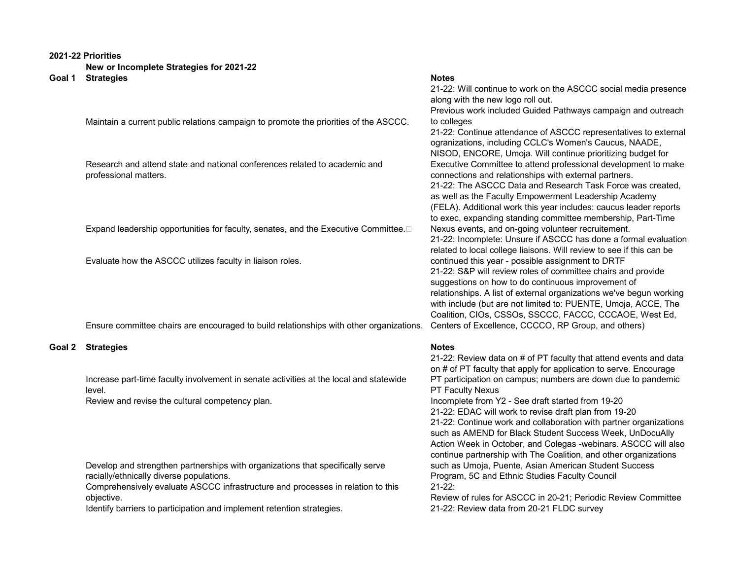## **2021-22 Priorities**

**New or Incomplete Strategies for 2021-22**

|        | Goal 1 Strategies                                                                       | <b>Notes</b>                                                         |
|--------|-----------------------------------------------------------------------------------------|----------------------------------------------------------------------|
|        |                                                                                         | 21-22: Will continue to work on the ASCCC social media presence      |
|        |                                                                                         | along with the new logo roll out.                                    |
|        |                                                                                         | Previous work included Guided Pathways campaign and outreach         |
|        | Maintain a current public relations campaign to promote the priorities of the ASCCC.    | to colleges                                                          |
|        |                                                                                         | 21-22: Continue attendance of ASCCC representatives to external      |
|        |                                                                                         | ogranizations, including CCLC's Women's Caucus, NAADE,               |
|        |                                                                                         | NISOD, ENCORE, Umoja. Will continue prioritizing budget for          |
|        | Research and attend state and national conferences related to academic and              | Executive Committee to attend professional development to make       |
|        | professional matters.                                                                   | connections and relationships with external partners.                |
|        |                                                                                         | 21-22: The ASCCC Data and Research Task Force was created,           |
|        |                                                                                         | as well as the Faculty Empowerment Leadership Academy                |
|        |                                                                                         | (FELA). Additional work this year includes: caucus leader reports    |
|        |                                                                                         | to exec, expanding standing committee membership, Part-Time          |
|        | Expand leadership opportunities for faculty, senates, and the Executive Committee.□     | Nexus events, and on-going volunteer recruitement.                   |
|        |                                                                                         | 21-22: Incomplete: Unsure if ASCCC has done a formal evaluation      |
|        |                                                                                         | related to local college liaisons. Will review to see if this can be |
|        | Evaluate how the ASCCC utilizes faculty in liaison roles.                               | continued this year - possible assignment to DRTF                    |
|        |                                                                                         | 21-22: S&P will review roles of committee chairs and provide         |
|        |                                                                                         | suggestions on how to do continuous improvement of                   |
|        |                                                                                         | relationships. A list of external organizations we've begun working  |
|        |                                                                                         | with include (but are not limited to: PUENTE, Umoja, ACCE, The       |
|        |                                                                                         | Coalition, CIOs, CSSOs, SSCCC, FACCC, CCCAOE, West Ed,               |
|        | Ensure committee chairs are encouraged to build relationships with other organizations. | Centers of Excellence, CCCCO, RP Group, and others)                  |
| Goal 2 | <b>Strategies</b>                                                                       | <b>Notes</b>                                                         |
|        |                                                                                         | 21-22: Review data on # of PT faculty that attend events and data    |
|        |                                                                                         | on # of PT faculty that apply for application to serve. Encourage    |
|        | Increase part-time faculty involvement in senate activities at the local and statewide  | PT participation on campus; numbers are down due to pandemic         |
|        | level.                                                                                  | <b>PT Faculty Nexus</b>                                              |
|        | Review and revise the cultural competency plan.                                         | Incomplete from Y2 - See draft started from 19-20                    |
|        |                                                                                         | 21-22: EDAC will work to revise draft plan from 19-20                |
|        |                                                                                         | 21-22: Continue work and collaboration with partner organizations    |

Develop and strengthen partnerships with organizations that specifically serve racially/ethnically diverse populations.

Comprehensively evaluate ASCCC infrastructure and processes in relation to this objective.

Identify barriers to participation and implement retention strategies. 21-22: Review data from 20-21 FLDC survey

# Review of rules for ASCCC in 20-21; Periodic Review Committee

Program, 5C and Ethnic Studies Faculty Council

21-22:

such as AMEND for Black Student Success Week, UnDocuAlly Action Week in October, and Colegas -webinars. ASCCC will also continue partnership with The Coalition, and other organizations such as Umoja, Puente, Asian American Student Success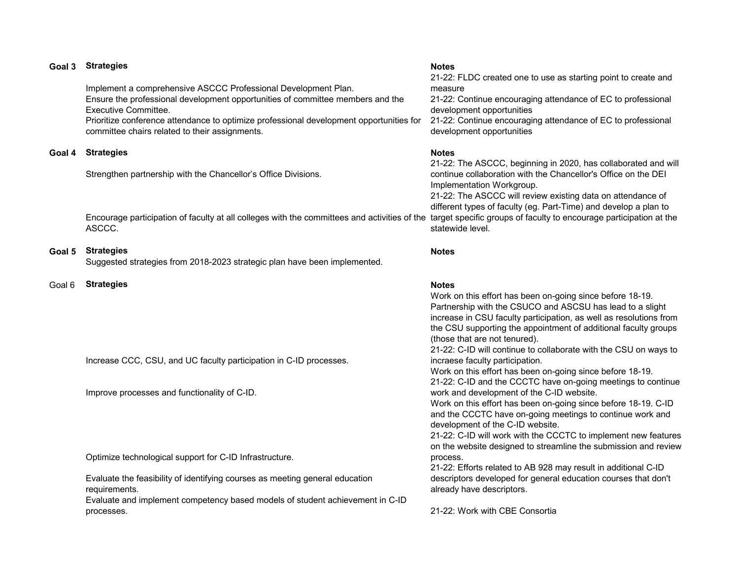| Goal 3 | <b>Strategies</b>                                                                                                                                                                                                                                                                                                            | <b>Notes</b><br>21-22: FLDC created one to use as starting point to create and                                                                                                                                                                                                                                                                                                       |
|--------|------------------------------------------------------------------------------------------------------------------------------------------------------------------------------------------------------------------------------------------------------------------------------------------------------------------------------|--------------------------------------------------------------------------------------------------------------------------------------------------------------------------------------------------------------------------------------------------------------------------------------------------------------------------------------------------------------------------------------|
|        | Implement a comprehensive ASCCC Professional Development Plan.<br>Ensure the professional development opportunities of committee members and the<br><b>Executive Committee.</b><br>Prioritize conference attendance to optimize professional development opportunities for<br>committee chairs related to their assignments. | measure<br>21-22: Continue encouraging attendance of EC to professional<br>development opportunities<br>21-22: Continue encouraging attendance of EC to professional<br>development opportunities                                                                                                                                                                                    |
| Goal 4 | <b>Strategies</b>                                                                                                                                                                                                                                                                                                            | <b>Notes</b>                                                                                                                                                                                                                                                                                                                                                                         |
|        | Strengthen partnership with the Chancellor's Office Divisions.                                                                                                                                                                                                                                                               | 21-22: The ASCCC, beginning in 2020, has collaborated and will<br>continue collaboration with the Chancellor's Office on the DEI<br>Implementation Workgroup.<br>21-22: The ASCCC will review existing data on attendance of                                                                                                                                                         |
|        | Encourage participation of faculty at all colleges with the committees and activities of the<br>ASCCC.                                                                                                                                                                                                                       | different types of faculty (eg. Part-Time) and develop a plan to<br>target specific groups of faculty to encourage participation at the<br>statewide level.                                                                                                                                                                                                                          |
| Goal 5 | <b>Strategies</b><br>Suggested strategies from 2018-2023 strategic plan have been implemented.                                                                                                                                                                                                                               | <b>Notes</b>                                                                                                                                                                                                                                                                                                                                                                         |
| Goal 6 | <b>Strategies</b>                                                                                                                                                                                                                                                                                                            | <b>Notes</b><br>Work on this effort has been on-going since before 18-19.<br>Partnership with the CSUCO and ASCSU has lead to a slight<br>increase in CSU faculty participation, as well as resolutions from<br>the CSU supporting the appointment of additional faculty groups<br>(those that are not tenured).<br>21-22: C-ID will continue to collaborate with the CSU on ways to |
|        | Increase CCC, CSU, and UC faculty participation in C-ID processes.                                                                                                                                                                                                                                                           | incraese faculty participation.<br>Work on this effort has been on-going since before 18-19.<br>21-22: C-ID and the CCCTC have on-going meetings to continue                                                                                                                                                                                                                         |
|        | Improve processes and functionality of C-ID.                                                                                                                                                                                                                                                                                 | work and development of the C-ID website.<br>Work on this effort has been on-going since before 18-19. C-ID<br>and the CCCTC have on-going meetings to continue work and<br>development of the C-ID website.<br>21-22: C-ID will work with the CCCTC to implement new features<br>on the website designed to streamline the submission and review                                    |
|        | Optimize technological support for C-ID Infrastructure.                                                                                                                                                                                                                                                                      | process.<br>21-22: Efforts related to AB 928 may result in additional C-ID                                                                                                                                                                                                                                                                                                           |
|        | Evaluate the feasibility of identifying courses as meeting general education<br>requirements.                                                                                                                                                                                                                                | descriptors developed for general education courses that don't<br>already have descriptors.                                                                                                                                                                                                                                                                                          |
|        | Evaluate and implement competency based models of student achievement in C-ID<br>processes.                                                                                                                                                                                                                                  | 21-22: Work with CBE Consortia                                                                                                                                                                                                                                                                                                                                                       |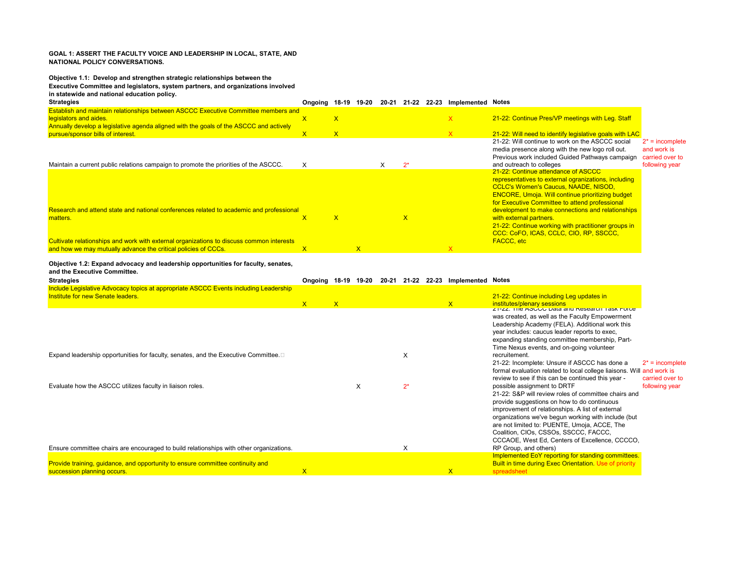### **GOAL 1: ASSERT THE FACULTY VOICE AND LEADERSHIP IN LOCAL, STATE, AND NATIONAL POLICY CONVERSATIONS.**

## **Objective 1.1: Develop and strengthen strategic relationships between the**

#### **Executive Committee and legislators, system partners, and organizations involved**

**in statewide and national education policy.**

| <b>Strategies</b>                                                                                                                                                                                      | Ongoing 18-19 |              | 19-20        | 20-21 |              | 21-22 22-23 Implemented Notes |                                                                                                                                                                                                                                                         |                                                      |
|--------------------------------------------------------------------------------------------------------------------------------------------------------------------------------------------------------|---------------|--------------|--------------|-------|--------------|-------------------------------|---------------------------------------------------------------------------------------------------------------------------------------------------------------------------------------------------------------------------------------------------------|------------------------------------------------------|
| Establish and maintain relationships between ASCCC Executive Committee members and<br>legislators and aides.<br>Annually develop a legislative agenda aligned with the goals of the ASCCC and actively | $\mathsf{x}$  | $\mathsf{X}$ |              |       |              | $\mathsf{x}$                  | 21-22: Continue Pres/VP meetings with Leg. Staff                                                                                                                                                                                                        |                                                      |
| pursue/sponsor bills of interest.                                                                                                                                                                      | $\mathsf{x}$  | $\mathsf{X}$ |              |       |              | $\mathsf{X}$                  | 21-22: Will need to identify legislative goals with LAC                                                                                                                                                                                                 |                                                      |
|                                                                                                                                                                                                        |               |              |              |       |              |                               | 21-22: Will continue to work on the ASCCC social<br>media presence along with the new logo roll out.<br>Previous work included Guided Pathways campaign                                                                                                 | $2^*$ = incomplete<br>and work is<br>carried over to |
| Maintain a current public relations campaign to promote the priorities of the ASCCC.                                                                                                                   | X             |              |              |       | $2^*$        |                               | and outreach to colleges                                                                                                                                                                                                                                | following year                                       |
|                                                                                                                                                                                                        |               |              |              |       |              |                               | 21-22: Continue attendance of ASCCC<br>representatives to external ogranizations, including<br><b>CCLC's Women's Caucus, NAADE, NISOD,</b><br><b>ENCORE, Umoja. Will continue prioritizing budget</b><br>for Executive Committee to attend professional |                                                      |
| Research and attend state and national conferences related to academic and professional                                                                                                                |               |              |              |       |              |                               | development to make connections and relationships                                                                                                                                                                                                       |                                                      |
| matters.                                                                                                                                                                                               | $\mathsf{x}$  | $\mathsf{x}$ |              |       | $\mathsf{x}$ |                               | with external partners.<br>21-22: Continue working with practitioner groups in<br><b>CCC: CoFO, ICAS, CCLC, CIO, RP, SSCCC,</b>                                                                                                                         |                                                      |
| Cultivate relationships and work with external organizations to discuss common interests                                                                                                               |               |              |              |       |              |                               | <b>FACCC, etc</b>                                                                                                                                                                                                                                       |                                                      |
| and how we may mutually advance the critical policies of CCCs.                                                                                                                                         | $\mathsf{x}$  |              | $\mathsf{X}$ |       |              | $\mathsf{x}$                  |                                                                                                                                                                                                                                                         |                                                      |

#### **Objective 1.2: Expand advocacy and leadership opportunities for faculty, senates, and the Executive Committee.**

| <b>Strategies</b>                                                                                                         | Ongoing 18-19 19-20 |              |   |       | 20-21 21-22 22-23 Implemented Notes |                                                                                                                                                                                                                                                                                                                                                                                                            |
|---------------------------------------------------------------------------------------------------------------------------|---------------------|--------------|---|-------|-------------------------------------|------------------------------------------------------------------------------------------------------------------------------------------------------------------------------------------------------------------------------------------------------------------------------------------------------------------------------------------------------------------------------------------------------------|
| Include Legislative Advocacy topics at appropriate ASCCC Events including Leadership<br>Institute for new Senate leaders. | $\mathsf{X}$        | $\mathsf{X}$ |   |       | $\mathsf{X}$                        | 21-22: Continue including Leg updates in<br>institutes/plenary sessions                                                                                                                                                                                                                                                                                                                                    |
|                                                                                                                           |                     |              |   |       |                                     | <u>Z I-ZZ. The ASCCC Data and Research Task Force</u><br>was created, as well as the Faculty Empowerment<br>Leadership Academy (FELA). Additional work this<br>year includes: caucus leader reports to exec,<br>expanding standing committee membership, Part-<br>Time Nexus events, and on-going volunteer                                                                                                |
| Expand leadership opportunities for faculty, senates, and the Executive Committee.                                        |                     |              |   | X     |                                     | recruitement.<br>21-22: Incomplete: Unsure if ASCCC has done a<br>$2^*$ = incomplete<br>formal evaluation related to local college liaisons. Will<br>and work is<br>review to see if this can be continued this year -<br>carried over to                                                                                                                                                                  |
| Evaluate how the ASCCC utilizes faculty in liaison roles.                                                                 |                     |              | X | $2^*$ |                                     | possible assignment to DRTF<br>following year<br>21-22: S&P will review roles of committee chairs and<br>provide suggestions on how to do continuous<br>improvement of relationships. A list of external<br>organizations we've begun working with include (but<br>are not limited to: PUENTE, Umoja, ACCE, The<br>Coalition, CIOs, CSSOs, SSCCC, FACCC,<br>CCCAOE, West Ed, Centers of Excellence, CCCCO, |
| Ensure committee chairs are encouraged to build relationships with other organizations.                                   |                     |              |   | X     |                                     | RP Group, and others)                                                                                                                                                                                                                                                                                                                                                                                      |
| Provide training, guidance, and opportunity to ensure committee continuity and<br>succession planning occurs.             | $\mathsf{x}$        |              |   |       | $\mathsf{X}$                        | Implemented EoY reporting for standing committees.<br><b>Built in time during Exec Orientation. Use of priority</b><br>spreadsheet                                                                                                                                                                                                                                                                         |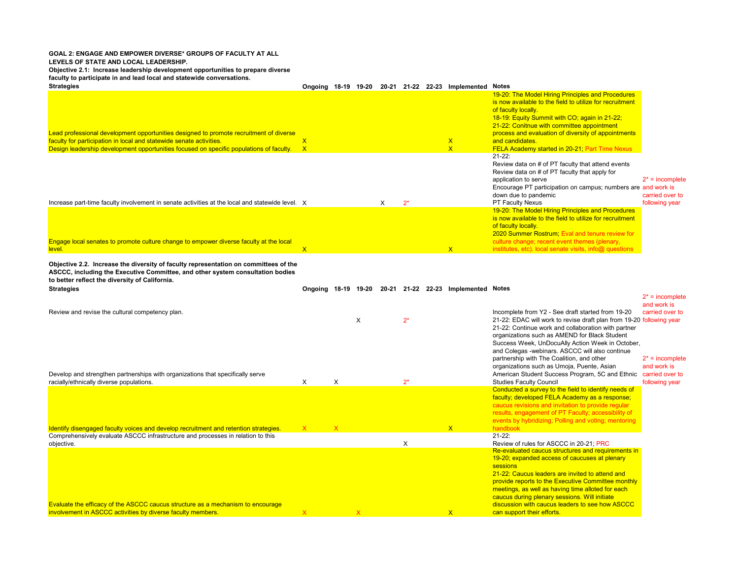#### **GOAL 2: ENGAGE AND EMPOWER DIVERSE\* GROUPS OF FACULTY AT ALL LEVELS OF STATE AND LOCAL LEADERSHIP. Objective 2.1: Increase leadership development opportunities to prepare diverse**

**faculty to participate in and lead local and statewide conversations.** 

| <b>Strategies</b>                                                                                                                                                                                                                                        | Ongoing 18-19      | 19-20 | 20-21 | 21-22 | 22-23 | <b>Implemented Notes</b>                |                                                                                                                                                                                                                                                                                                                                                                        |                                                         |
|----------------------------------------------------------------------------------------------------------------------------------------------------------------------------------------------------------------------------------------------------------|--------------------|-------|-------|-------|-------|-----------------------------------------|------------------------------------------------------------------------------------------------------------------------------------------------------------------------------------------------------------------------------------------------------------------------------------------------------------------------------------------------------------------------|---------------------------------------------------------|
| Lead professional development opportunities designed to promote recruitment of diverse<br>faculty for participation in local and statewide senate activities.<br>Design leadership development opportunities focused on specific populations of faculty. | X.<br>$\mathsf{x}$ |       |       |       |       | $\mathsf{X}$<br>$\overline{\mathsf{x}}$ | 19-20: The Model Hiring Principles and Procedures<br>is now available to the field to utilize for recruitment<br>of faculty locally.<br>18-19: Equity Summit with CO; again in 21-22;<br>21-22: Conitnue with committee appointment<br>process and evaluation of diversity of appointments<br>and candidates.<br><b>FELA Academy started in 20-21; Part Time Nexus</b> |                                                         |
| Increase part-time faculty involvement in senate activities at the local and statewide level. X                                                                                                                                                          |                    |       | x     | $2^*$ |       |                                         | $21 - 22$ :<br>Review data on # of PT faculty that attend events<br>Review data on # of PT faculty that apply for<br>application to serve<br>Encourage PT participation on campus; numbers are and work is<br>down due to pandemic<br>PT Faculty Nexus                                                                                                                 | $2^*$ = incomplete<br>carried over to<br>following year |
| Engage local senates to promote culture change to empower diverse faculty at the local<br>level.                                                                                                                                                         | $\overline{X}$     |       |       |       |       | $\mathsf{x}$                            | 19-20: The Model Hiring Principles and Procedures<br>is now available to the field to utilize for recruitment<br>of faculty locally.<br>2020 Summer Rostrum; Eval and tenure review for<br>culture change; recent event themes (plenary,<br>institutes, etc). local senate visits, info@ questions                                                                     |                                                         |

**Objective 2.2. Increase the diversity of faculty representation on committees of the ASCCC, including the Executive Committee, and other system consultation bodies to better reflect the diversity of California.**

## **Strategies Ongoing 18-19 19-20 20-21 21-22 22-23 Implemented Notes**

 $2^*$  = incomplete

| Review and revise the cultural competency plan.                                                                                                |              |              | X                       | $2^*$ |              | Incomplete from Y2 - See draft started from 19-20<br>21-22: EDAC will work to revise draft plan from 19-20 following year<br>21-22: Continue work and collaboration with partner<br>organizations such as AMEND for Black Student<br>Success Week, UnDocuAlly Action Week in October,<br>and Colegas -webinars. ASCCC will also continue<br>partnership with The Coalition, and other<br>organizations such as Umoja, Puente, Asian | and work is<br>carried over to<br>$2^*$ = incomplete<br>and work is |
|------------------------------------------------------------------------------------------------------------------------------------------------|--------------|--------------|-------------------------|-------|--------------|-------------------------------------------------------------------------------------------------------------------------------------------------------------------------------------------------------------------------------------------------------------------------------------------------------------------------------------------------------------------------------------------------------------------------------------|---------------------------------------------------------------------|
| Develop and strengthen partnerships with organizations that specifically serve                                                                 |              |              |                         |       |              | American Student Success Program, 5C and Ethnic                                                                                                                                                                                                                                                                                                                                                                                     | carried over to                                                     |
| racially/ethnically diverse populations.                                                                                                       | X            | X            |                         | $2^*$ |              | <b>Studies Faculty Council</b>                                                                                                                                                                                                                                                                                                                                                                                                      | following year                                                      |
| Identify disengaged faculty voices and develop recruitment and retention strategies.                                                           | $\mathsf{X}$ | $\mathsf{X}$ |                         |       | $\mathsf{X}$ | Conducted a survey to the field to identify needs of<br>faculty; developed FELA Academy as a response;<br>caucus revisions and invitation to provide regular<br>results, engagement of PT Faculty; accessibility of<br>events by hybridizing; Polling and voting; mentoring<br>handbook                                                                                                                                             |                                                                     |
| Comprehensively evaluate ASCCC infrastructure and processes in relation to this                                                                |              |              |                         |       |              | $21-22:$                                                                                                                                                                                                                                                                                                                                                                                                                            |                                                                     |
| objective.                                                                                                                                     |              |              |                         | X     |              | Review of rules for ASCCC in 20-21: PRC<br>Re-evaluated caucus structures and requirements in                                                                                                                                                                                                                                                                                                                                       |                                                                     |
|                                                                                                                                                |              |              |                         |       |              | 19-20; expanded access of caucuses at plenary<br>sessions<br>21-22: Caucus leaders are invited to attend and<br>provide reports to the Executive Committee monthly                                                                                                                                                                                                                                                                  |                                                                     |
| Evaluate the efficacy of the ASCCC caucus structure as a mechanism to encourage<br>involvement in ASCCC activities by diverse faculty members. | $\mathsf{x}$ |              | $\overline{\mathsf{x}}$ |       | $\mathsf{X}$ | meetings, as well as having time alloted for each<br>caucus during plenary sessions. Will initiate<br>discussion with caucus leaders to see how ASCCC<br>can support their efforts.                                                                                                                                                                                                                                                 |                                                                     |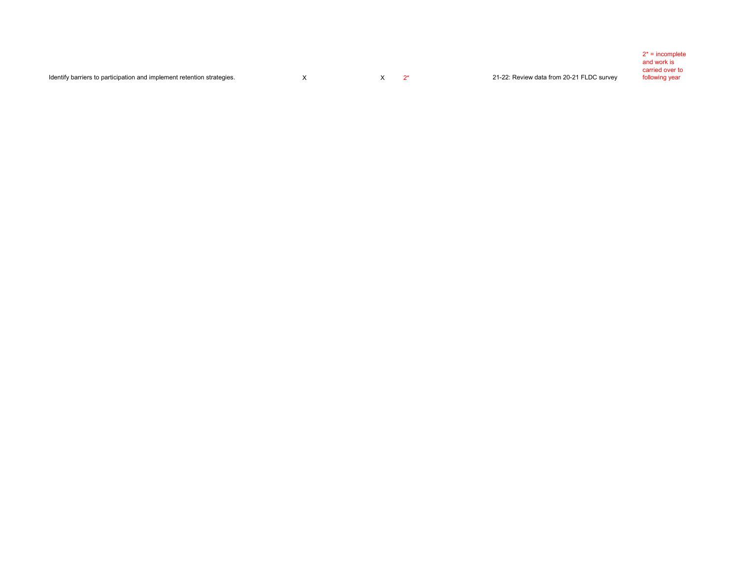|                                                                        |  |                                           | $2^*$ = incomplete |
|------------------------------------------------------------------------|--|-------------------------------------------|--------------------|
|                                                                        |  |                                           | and work is        |
|                                                                        |  |                                           | carried over to    |
| Identify barriers to participation and implement retention strategies. |  | 21-22: Review data from 20-21 FLDC survey | following year     |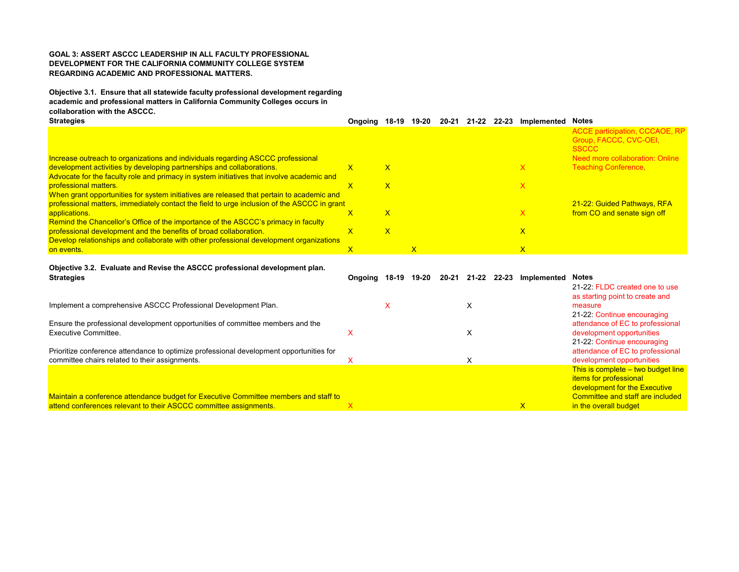## **GOAL 3: ASSERT ASCCC LEADERSHIP IN ALL FACULTY PROFESSIONAL DEVELOPMENT FOR THE CALIFORNIA COMMUNITY COLLEGE SYSTEM REGARDING ACADEMIC AND PROFESSIONAL MATTERS.**

**Objective 3.1. Ensure that all statewide faculty professional development regarding academic and professional matters in California Community Colleges occurs in collaboration with the ASCCC.**

| <b>Strategies</b>                                                                           | Onaoina | 18-19 | 19-20 | $20 - 21$ | 21-22 22-23 | <b>Implemented Notes</b> |                                 |
|---------------------------------------------------------------------------------------------|---------|-------|-------|-----------|-------------|--------------------------|---------------------------------|
|                                                                                             |         |       |       |           |             |                          | ACCE participation, CCCAOE, RP  |
|                                                                                             |         |       |       |           |             |                          | Group, FACCC, CVC-OEI,          |
|                                                                                             |         |       |       |           |             |                          | <b>SSCCC</b>                    |
| Increase outreach to organizations and individuals regarding ASCCC professional             |         |       |       |           |             |                          | Need more collaboration: Online |
| development activities by developing partnerships and collaborations.                       |         | x     |       |           |             | x                        | <b>Teaching Conference,</b>     |
| Advocate for the faculty role and primacy in system initiatives that involve academic and   |         |       |       |           |             |                          |                                 |
| <b>professional matters.</b>                                                                |         | x     |       |           |             | x                        |                                 |
| When grant opportunities for system initiatives are released that pertain to academic and   |         |       |       |           |             |                          |                                 |
| professional matters, immediately contact the field to urge inclusion of the ASCCC in grant |         |       |       |           |             |                          | 21-22: Guided Pathways, RFA     |
| applications.                                                                               |         | x     |       |           |             | x                        | from CO and senate sign off     |
| Remind the Chancellor's Office of the importance of the ASCCC's primacy in faculty          |         |       |       |           |             |                          |                                 |
| professional development and the benefits of broad collaboration.                           |         | x     |       |           |             | X                        |                                 |
| Develop relationships and collaborate with other professional development organizations     |         |       |       |           |             |                          |                                 |
| on events.                                                                                  |         |       |       |           |             | $\mathsf{x}$             |                                 |

## **Objective 3.2. Evaluate and Revise the ASCCC professional development plan.**

| <b>Strategies</b>                                                                                                                         | Onaoina | 18-19 | 19-20 | 20-21 | 21-22 | 22-23 | Implemented  | <b>Notes</b><br>21-22: FLDC created one to use<br>as starting point to create and                                           |
|-------------------------------------------------------------------------------------------------------------------------------------------|---------|-------|-------|-------|-------|-------|--------------|-----------------------------------------------------------------------------------------------------------------------------|
| Implement a comprehensive ASCCC Professional Development Plan.                                                                            |         |       |       |       |       |       |              | measure                                                                                                                     |
| Ensure the professional development opportunities of committee members and the<br>Executive Committee.                                    |         |       |       |       | ⋏     |       |              | 21-22: Continue encouraging<br>attendance of EC to professional<br>development opportunities<br>21-22: Continue encouraging |
| Prioritize conference attendance to optimize professional development opportunities for<br>committee chairs related to their assignments. |         |       |       |       |       |       |              | attendance of EC to professional<br>development opportunities                                                               |
|                                                                                                                                           |         |       |       |       |       |       |              | This is complete – two budget line<br><b>items for professional</b><br>development for the Executive                        |
| Maintain a conference attendance budget for Executive Committee members and staff to                                                      |         |       |       |       |       |       |              | Committee and staff are included                                                                                            |
| attend conferences relevant to their ASCCC committee assignments.                                                                         |         |       |       |       |       |       | $\mathsf{x}$ | in the overall budget                                                                                                       |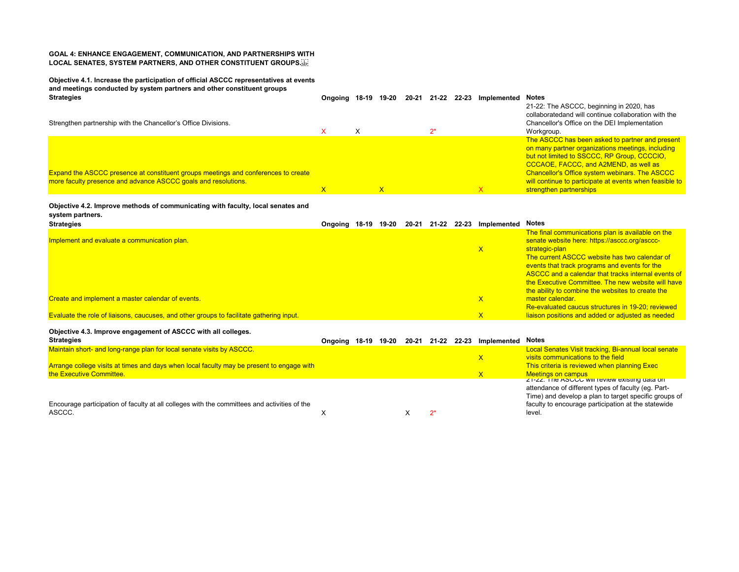## **GOAL 4: ENHANCE ENGAGEMENT, COMMUNICATION, AND PARTNERSHIPS WITH LOCAL SENATES, SYSTEM PARTNERS, AND OTHER CONSTITUENT GROUPS.**

**Objective 4.1. Increase the participation of official ASCCC representatives at events and meetings conducted by system partners and other constituent groups Strategies Ongoing 18-19 19-20 20-21 21-22 22-23 Implemented Notes** Strengthen partnership with the Chancellor's Office Divisions.  $X$   $X$   $2^*$ 21-22: The ASCCC, beginning in 2020, has collaboratedand will continue collaboration with the Chancellor's Office on the DEI Implementation Workgroup. Expand the ASCCC presence at constituent groups meetings and conferences to create more faculty presence and advance ASCCC goals and resolutions.  $\mathsf X$  x  $\mathsf X$  x  $\mathsf X$  x  $\mathsf X$ The ASCCC has been asked to partner and present on many partner organizations meetings, including but not limited to SSCCC, RP Group, CCCCIO, CCCAOE, FACCC, and A2MEND, as well as Chancellor's Office system webinars. The ASCCC will continue to participate at events when feasible to strengthen partnerships

#### **Objective 4.2. Improve methods of communicating with faculty, local senates and system partners.**

| -                                                                                        |               |       |       |       |                         |                                                     |
|------------------------------------------------------------------------------------------|---------------|-------|-------|-------|-------------------------|-----------------------------------------------------|
| <b>Strategies</b>                                                                        | Ongoing 18-19 | 19-20 | 20-21 | 21-22 | 22-23 Implemented Notes |                                                     |
|                                                                                          |               |       |       |       |                         | The final communications plan is available on the   |
| Implement and evaluate a communication plan.                                             |               |       |       |       |                         | senate website here: https://asccc.org/asccc-       |
|                                                                                          |               |       |       |       |                         | strategic-plan                                      |
|                                                                                          |               |       |       |       |                         | The current ASCCC website has two calendar of       |
|                                                                                          |               |       |       |       |                         | events that track programs and events for the       |
|                                                                                          |               |       |       |       |                         | ASCCC and a calendar that tracks internal events of |
|                                                                                          |               |       |       |       |                         | the Executive Committee. The new website will have  |
|                                                                                          |               |       |       |       |                         | the ability to combine the websites to create the   |
| Create and implement a master calendar of events.                                        |               |       |       |       |                         | master calendar.                                    |
|                                                                                          |               |       |       |       |                         | Re-evaluated caucus structures in 19-20; reviewed   |
| Evaluate the role of liaisons, caucuses, and other groups to facilitate gathering input. |               |       |       |       |                         | liaison positions and added or adjusted as needed   |

## **Objective 4.3. Improve engagement of ASCCC with all colleges.**

| <b>Strategies</b>                                                                            | Ongoing 18-19 19-20 |  | 20-21 | 21-22 | 22-23 Implemented Notes |                                                       |
|----------------------------------------------------------------------------------------------|---------------------|--|-------|-------|-------------------------|-------------------------------------------------------|
| Maintain short- and long-range plan for local senate visits by ASCCC.                        |                     |  |       |       |                         | Local Senates Visit tracking, Bi-annual local senate  |
|                                                                                              |                     |  |       |       |                         | visits communications to the field                    |
| Arrange college visits at times and days when local faculty may be present to engage with    |                     |  |       |       |                         | This criteria is reviewed when planning Exec          |
| the Executive Committee.                                                                     |                     |  |       |       |                         | Meetings on campus                                    |
|                                                                                              |                     |  |       |       |                         | Z 1-ZZ. The ASUUU WIILTEVIEW EXISITIQ Gata OIT        |
|                                                                                              |                     |  |       |       |                         | attendance of different types of faculty (eq. Part-   |
|                                                                                              |                     |  |       |       |                         | Time) and develop a plan to target specific groups of |
| Encourage participation of faculty at all colleges with the committees and activities of the |                     |  |       |       |                         | faculty to encourage participation at the statewide   |
| ASCCC.                                                                                       |                     |  |       |       |                         | level.                                                |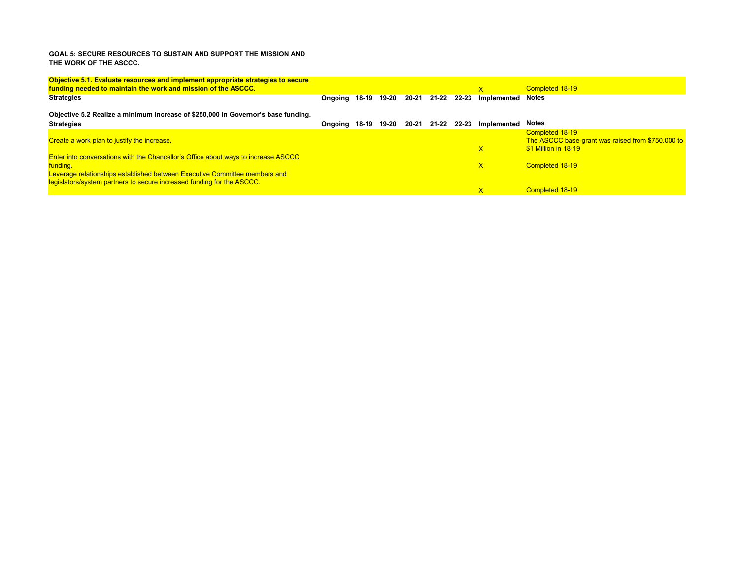### **GOAL 5: SECURE RESOURCES TO SUSTAIN AND SUPPORT THE MISSION AND THE WORK OF THE ASCCC.**

| Objective 5.1. Evaluate resources and implement appropriate strategies to secure          |               |       |       |           |             |                          |                                                                      |
|-------------------------------------------------------------------------------------------|---------------|-------|-------|-----------|-------------|--------------------------|----------------------------------------------------------------------|
| funding needed to maintain the work and mission of the ASCCC.                             |               |       |       |           |             | $\overline{\mathsf{x}}$  | Completed 18-19                                                      |
| <b>Strategies</b>                                                                         | Ongoing 18-19 |       | 19-20 | $20 - 21$ | 21-22 22-23 | <b>Implemented Notes</b> |                                                                      |
| Objective 5.2 Realize a minimum increase of \$250,000 in Governor's base funding.         |               |       |       |           |             |                          |                                                                      |
| <b>Strategies</b>                                                                         | Ongoing       | 18-19 | 19-20 | 20-21     | 21-22 22-23 | <b>Implemented Notes</b> |                                                                      |
| Create a work plan to justify the increase.                                               |               |       |       |           |             |                          | Completed 18-19<br>The ASCCC base-grant was raised from \$750,000 to |
| <b>Enter into conversations with the Chancellor's Office about ways to increase ASCCC</b> |               |       |       |           |             | X                        | \$1 Million in 18-19                                                 |
| funding.<br>Leverage relationships established between Executive Committee members and    |               |       |       |           |             | $\overline{\mathsf{x}}$  | Completed 18-19                                                      |
| legislators/system partners to secure increased funding for the ASCCC.                    |               |       |       |           |             |                          |                                                                      |
|                                                                                           |               |       |       |           |             |                          | Completed 18-19                                                      |